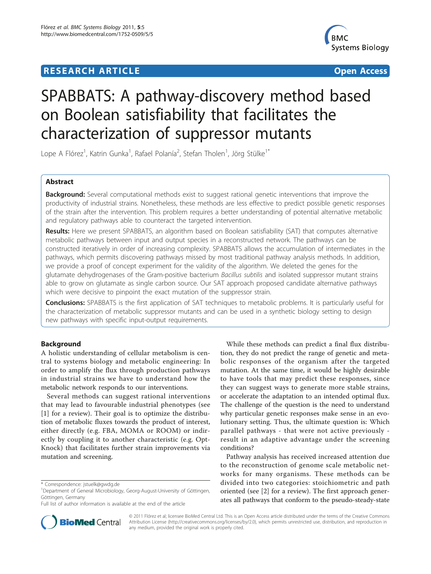## **RESEARCH ARTICLE Example 2018 12:30 THE Open Access**



# SPABBATS: A pathway-discovery method based on Boolean satisfiability that facilitates the characterization of suppressor mutants

Lope A Flórez<sup>1</sup>, Katrin Gunka<sup>1</sup>, Rafael Polanía<sup>2</sup>, Stefan Tholen<sup>1</sup>, Jörg Stülke<sup>1\*</sup>

## Abstract

**Background:** Several computational methods exist to suggest rational genetic interventions that improve the productivity of industrial strains. Nonetheless, these methods are less effective to predict possible genetic responses of the strain after the intervention. This problem requires a better understanding of potential alternative metabolic and regulatory pathways able to counteract the targeted intervention.

Results: Here we present SPABBATS, an algorithm based on Boolean satisfiability (SAT) that computes alternative metabolic pathways between input and output species in a reconstructed network. The pathways can be constructed iteratively in order of increasing complexity. SPABBATS allows the accumulation of intermediates in the pathways, which permits discovering pathways missed by most traditional pathway analysis methods. In addition, we provide a proof of concept experiment for the validity of the algorithm. We deleted the genes for the glutamate dehydrogenases of the Gram-positive bacterium Bacillus subtilis and isolated suppressor mutant strains able to grow on glutamate as single carbon source. Our SAT approach proposed candidate alternative pathways which were decisive to pinpoint the exact mutation of the suppressor strain.

**Conclusions:** SPABBATS is the first application of SAT techniques to metabolic problems. It is particularly useful for the characterization of metabolic suppressor mutants and can be used in a synthetic biology setting to design new pathways with specific input-output requirements.

## Background

A holistic understanding of cellular metabolism is central to systems biology and metabolic engineering: In order to amplify the flux through production pathways in industrial strains we have to understand how the metabolic network responds to our interventions.

Several methods can suggest rational interventions that may lead to favourable industrial phenotypes (see [[1\]](#page-7-0) for a review). Their goal is to optimize the distribution of metabolic fluxes towards the product of interest, either directly (e.g. FBA, MOMA or ROOM) or indirectly by coupling it to another characteristic (e.g. Opt-Knock) that facilitates further strain improvements via mutation and screening.

While these methods can predict a final flux distribution, they do not predict the range of genetic and metabolic responses of the organism after the targeted mutation. At the same time, it would be highly desirable to have tools that may predict these responses, since they can suggest ways to generate more stable strains, or accelerate the adaptation to an intended optimal flux. The challenge of the question is the need to understand why particular genetic responses make sense in an evolutionary setting. Thus, the ultimate question is: Which parallel pathways - that were not active previously result in an adaptive advantage under the screening conditions?

Pathway analysis has received increased attention due to the reconstruction of genome scale metabolic networks for many organisms. These methods can be divided into two categories: stoichiometric and path oriented (see [\[2](#page-7-0)] for a review). The first approach generates all pathways that conform to the pseudo-steady-state



© 2011 Flórez et al; licensee BioMed Central Ltd. This is an Open Access article distributed under the terms of the Creative Commons Attribution License [\(http://creativecommons.org/licenses/by/2.0](http://creativecommons.org/licenses/by/2.0)), which permits unrestricted use, distribution, and reproduction in any medium, provided the original work is properly cited.

<sup>\*</sup> Correspondence: [jstuelk@gwdg.de](mailto:jstuelk@gwdg.de)

<sup>&</sup>lt;sup>1</sup>Department of General Microbiology, Georg-August-University of Göttingen, Göttingen, Germany

Full list of author information is available at the end of the article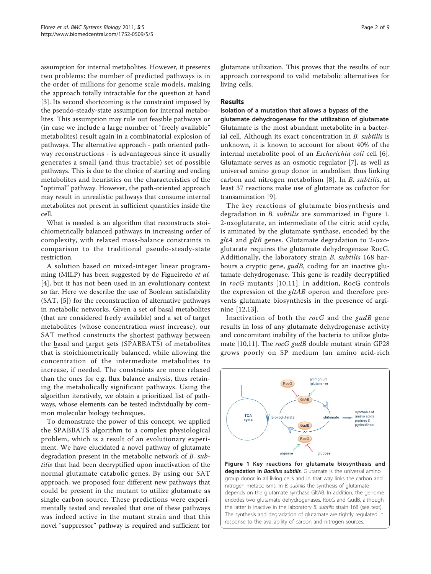assumption for internal metabolites. However, it presents two problems: the number of predicted pathways is in the order of millions for genome scale models, making the approach totally intractable for the question at hand [[3\]](#page-7-0). Its second shortcoming is the constraint imposed by the pseudo-steady-state assumption for internal metabolites. This assumption may rule out feasible pathways or (in case we include a large number of "freely available" metabolites) result again in a combinatorial explosion of pathways. The alternative approach - path oriented pathway reconstructions - is advantageous since it usually generates a small (and thus tractable) set of possible pathways. This is due to the choice of starting and ending metabolites and heuristics on the characteristics of the "optimal" pathway. However, the path-oriented approach may result in unrealistic pathways that consume internal metabolites not present in sufficient quantities inside the cell.

What is needed is an algorithm that reconstructs stoichiometrically balanced pathways in increasing order of complexity, with relaxed mass-balance constraints in comparison to the traditional pseudo-steady-state restriction.

A solution based on mixed-integer linear programming (MILP) has been suggested by de Figueiredo *et al.* [[4\]](#page-7-0), but it has not been used in an evolutionary context so far. Here we describe the use of Boolean satisfiability (SAT, [[5\]](#page-7-0)) for the reconstruction of alternative pathways in metabolic networks. Given a set of basal metabolites (that are considered freely available) and a set of target metabolites (whose concentration must increase), our SAT method constructs the shortest pathway between the basal and target sets (SPABBATS) of metabolites that is stoichiometrically balanced, while allowing the concentration of the intermediate metabolites to increase, if needed. The constraints are more relaxed than the ones for e.g. flux balance analysis, thus retaining the metabolically significant pathways. Using the algorithm iteratively, we obtain a prioritized list of pathways, whose elements can be tested individually by common molecular biology techniques.

To demonstrate the power of this concept, we applied the SPABBATS algorithm to a complex physiological problem, which is a result of an evolutionary experiment. We have elucidated a novel pathway of glutamate degradation present in the metabolic network of B. subtilis that had been decryptified upon inactivation of the normal glutamate catabolic genes. By using our SAT approach, we proposed four different new pathways that could be present in the mutant to utilize glutamate as single carbon source. These predictions were experimentally tested and revealed that one of these pathways was indeed active in the mutant strain and that this novel "suppressor" pathway is required and sufficient for

glutamate utilization. This proves that the results of our approach correspond to valid metabolic alternatives for living cells.

## Results

#### Isolation of a mutation that allows a bypass of the

glutamate dehydrogenase for the utilization of glutamate Glutamate is the most abundant metabolite in a bacterial cell. Although its exact concentration in *B. subtilis* is unknown, it is known to account for about 40% of the internal metabolite pool of an Escherichia coli cell [[6](#page-7-0)]. Glutamate serves as an osmotic regulator [[7\]](#page-7-0), as well as universal amino group donor in anabolism thus linking carbon and nitrogen metabolism [\[8](#page-7-0)]. In B. subtilis, at least 37 reactions make use of glutamate as cofactor for transamination [\[9](#page-7-0)].

The key reactions of glutamate biosynthesis and degradation in *B. subtilis* are summarized in Figure 1. 2-oxoglutarate, an intermediate of the citric acid cycle, is aminated by the glutamate synthase, encoded by the gltA and gltB genes. Glutamate degradation to 2-oxoglutarate requires the glutamate dehydrogenase RocG. Additionally, the laboratory strain B. subtilis 168 harbours a cryptic gene, *gudB*, coding for an inactive glutamate dehydrogenase. This gene is readily decryptified in rocG mutants [[10,11\]](#page-7-0). In addition, RocG controls the expression of the *gltAB* operon and therefore prevents glutamate biosynthesis in the presence of arginine [\[12](#page-8-0),[13\]](#page-8-0).

Inactivation of both the  $rocG$  and the  $gudB$  gene results in loss of any glutamate dehydrogenase activity and concomitant inability of the bacteria to utilize gluta-mate [\[10,11\]](#page-7-0). The rocG gudB double mutant strain GP28 grows poorly on SP medium (an amino acid-rich



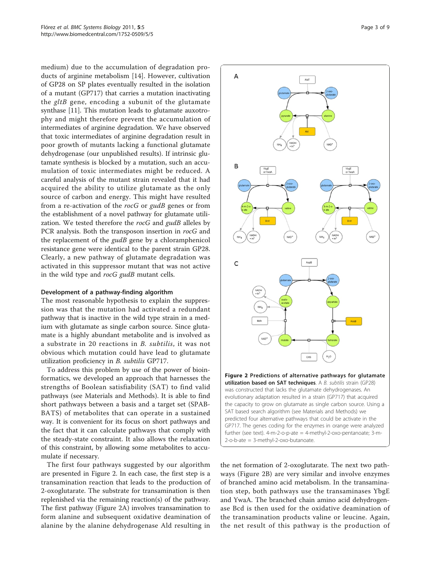<span id="page-2-0"></span>medium) due to the accumulation of degradation products of arginine metabolism [\[14](#page-8-0)]. However, cultivation of GP28 on SP plates eventually resulted in the isolation of a mutant (GP717) that carries a mutation inactivating the  $gltB$  gene, encoding a subunit of the glutamate synthase [[11](#page-7-0)]. This mutation leads to glutamate auxotrophy and might therefore prevent the accumulation of intermediates of arginine degradation. We have observed that toxic intermediates of arginine degradation result in poor growth of mutants lacking a functional glutamate dehydrogenase (our unpublished results). If intrinsic glutamate synthesis is blocked by a mutation, such an accumulation of toxic intermediates might be reduced. A careful analysis of the mutant strain revealed that it had acquired the ability to utilize glutamate as the only source of carbon and energy. This might have resulted from a re-activation of the *rocG* or gudB genes or from the establishment of a novel pathway for glutamate utilization. We tested therefore the  $rocG$  and  $gudB$  alleles by PCR analysis. Both the transposon insertion in rocG and the replacement of the  $\text{gudB}$  gene by a chloramphenicol resistance gene were identical to the parent strain GP28. Clearly, a new pathway of glutamate degradation was activated in this suppressor mutant that was not active in the wild type and *rocG gudB* mutant cells.

#### Development of a pathway-finding algorithm

The most reasonable hypothesis to explain the suppression was that the mutation had activated a redundant pathway that is inactive in the wild type strain in a medium with glutamate as single carbon source. Since glutamate is a highly abundant metabolite and is involved as a substrate in 20 reactions in B. subtilis, it was not obvious which mutation could have lead to glutamate utilization proficiency in B. subtilis GP717.

To address this problem by use of the power of bioinformatics, we developed an approach that harnesses the strengths of Boolean satisfiability (SAT) to find valid pathways (see Materials and Methods). It is able to find short pathways between a basis and a target set (SPAB-BATS) of metabolites that can operate in a sustained way. It is convenient for its focus on short pathways and the fact that it can calculate pathways that comply with the steady-state constraint. It also allows the relaxation of this constraint, by allowing some metabolites to accumulate if necessary.

The first four pathways suggested by our algorithm are presented in Figure 2. In each case, the first step is a transamination reaction that leads to the production of 2-oxoglutarate. The substrate for transamination is then replenished via the remaining reaction(s) of the pathway. The first pathway (Figure 2A) involves transamination to form alanine and subsequent oxidative deamination of alanine by the alanine dehydrogenase Ald resulting in



the net formation of 2-oxoglutarate. The next two pathways (Figure 2B) are very similar and involve enzymes of branched amino acid metabolism. In the transamination step, both pathways use the transaminases YbgE and YwaA. The branched chain amino acid dehydrogenase Bcd is then used for the oxidative deamination of the transamination products valine or leucine. Again, the net result of this pathway is the production of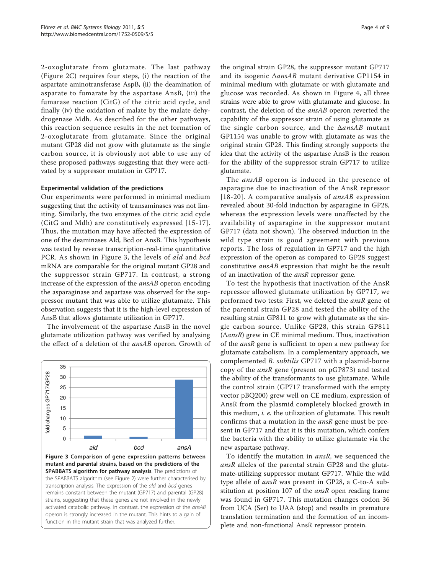2-oxoglutarate from glutamate. The last pathway (Figure [2C\)](#page-2-0) requires four steps, (i) the reaction of the aspartate aminotransferase AspB, (ii) the deamination of asparate to fumarate by the aspartase AnsB, (iii) the fumarase reaction (CitG) of the citric acid cycle, and finally (iv) the oxidation of malate by the malate dehydrogenase Mdh. As described for the other pathways, this reaction sequence results in the net formation of 2-oxoglutarate from glutamate. Since the original mutant GP28 did not grow with glutamate as the single carbon source, it is obviously not able to use any of these proposed pathways suggesting that they were activated by a suppressor mutation in GP717.

#### Experimental validation of the predictions

Our experiments were performed in minimal medium suggesting that the activity of transaminases was not limiting. Similarly, the two enzymes of the citric acid cycle (CitG and Mdh) are constitutively expressed [[15](#page-8-0)-[17\]](#page-8-0). Thus, the mutation may have affected the expression of one of the deaminases Ald, Bcd or AnsB. This hypothesis was tested by reverse transcription-real-time quantitative PCR. As shown in Figure 3, the levels of ald and bcd mRNA are comparable for the original mutant GP28 and the suppressor strain GP717. In contrast, a strong increase of the expression of the *ansAB* operon encoding the asparaginase and aspartase was observed for the suppressor mutant that was able to utilize glutamate. This observation suggests that it is the high-level expression of AnsB that allows glutamate utilization in GP717.

The involvement of the aspartase AnsB in the novel glutamate utilization pathway was verified by analysing the effect of a deletion of the *ansAB* operon. Growth of



the original strain GP28, the suppressor mutant GP717 and its isogenic ΔansAB mutant derivative GP1154 in minimal medium with glutamate or with glutamate and glucose was recorded. As shown in Figure [4](#page-4-0), all three strains were able to grow with glutamate and glucose. In contrast, the deletion of the *ansAB* operon reverted the capability of the suppressor strain of using glutamate as the single carbon source, and the  $\Delta ansAB$  mutant GP1154 was unable to grow with glutamate as was the original strain GP28. This finding strongly supports the idea that the activity of the aspartase AnsB is the reason for the ability of the suppressor strain GP717 to utilize glutamate.

The *ansAB* operon is induced in the presence of asparagine due to inactivation of the AnsR repressor [[18-20](#page-8-0)]. A comparative analysis of *ansAB* expression revealed about 30-fold induction by asparagine in GP28, whereas the expression levels were unaffected by the availability of asparagine in the suppressor mutant GP717 (data not shown). The observed induction in the wild type strain is good agreement with previous reports. The loss of regulation in GP717 and the high expression of the operon as compared to GP28 suggest constitutive *ansAB* expression that might be the result of an inactivation of the ansR repressor gene.

To test the hypothesis that inactivation of the AnsR repressor allowed glutamate utilization by GP717, we performed two tests: First, we deleted the ansR gene of the parental strain GP28 and tested the ability of the resulting strain GP811 to grow with glutamate as the single carbon source. Unlike GP28, this strain GP811  $(\Delta ansR)$  grew in CE minimal medium. Thus, inactivation of the ansR gene is sufficient to open a new pathway for glutamate catabolism. In a complementary approach, we complemented B. subtilis GP717 with a plasmid-borne copy of the ansR gene (present on pGP873) and tested the ability of the transformants to use glutamate. While the control strain (GP717 transformed with the empty vector pBQ200) grew well on CE medium, expression of AnsR from the plasmid completely blocked growth in this medium, i. e. the utilization of glutamate. This result confirms that a mutation in the *ansR* gene must be present in GP717 and that it is this mutation, which confers the bacteria with the ability to utilize glutamate via the new aspartase pathway.

To identify the mutation in *ansR*, we sequenced the ansR alleles of the parental strain GP28 and the glutamate-utilizing suppressor mutant GP717. While the wild type allele of ansR was present in GP28, a C-to-A substitution at position 107 of the *ansR* open reading frame was found in GP717. This mutation changes codon 36 from UCA (Ser) to UAA (stop) and results in premature translation termination and the formation of an incomplete and non-functional AnsR repressor protein.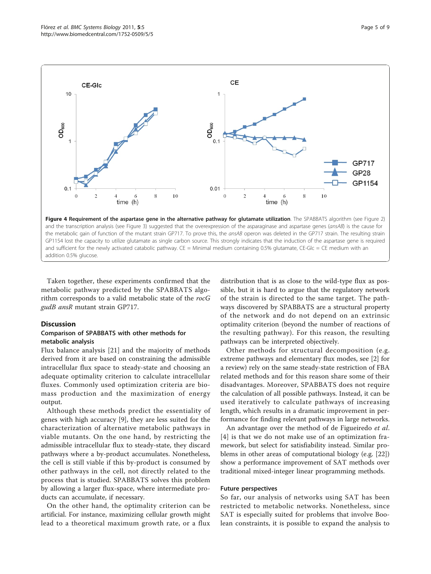<span id="page-4-0"></span>

Taken together, these experiments confirmed that the metabolic pathway predicted by the SPABBATS algorithm corresponds to a valid metabolic state of the rocG gudB ansR mutant strain GP717.

#### **Discussion**

## Comparison of SPABBATS with other methods for metabolic analysis

Flux balance analysis [\[21](#page-8-0)] and the majority of methods derived from it are based on constraining the admissible intracellular flux space to steady-state and choosing an adequate optimality criterion to calculate intracellular fluxes. Commonly used optimization criteria are biomass production and the maximization of energy output.

Although these methods predict the essentiality of genes with high accuracy [\[9\]](#page-7-0), they are less suited for the characterization of alternative metabolic pathways in viable mutants. On the one hand, by restricting the admissible intracellular flux to steady-state, they discard pathways where a by-product accumulates. Nonetheless, the cell is still viable if this by-product is consumed by other pathways in the cell, not directly related to the process that is studied. SPABBATS solves this problem by allowing a larger flux-space, where intermediate products can accumulate, if necessary.

On the other hand, the optimality criterion can be artificial. For instance, maximizing cellular growth might lead to a theoretical maximum growth rate, or a flux distribution that is as close to the wild-type flux as possible, but it is hard to argue that the regulatory network of the strain is directed to the same target. The pathways discovered by SPABBATS are a structural property of the network and do not depend on an extrinsic optimality criterion (beyond the number of reactions of the resulting pathway). For this reason, the resulting pathways can be interpreted objectively.

Other methods for structural decomposition (e.g. extreme pathways and elementary flux modes, see [[2\]](#page-7-0) for a review) rely on the same steady-state restriction of FBA related methods and for this reason share some of their disadvantages. Moreover, SPABBATS does not require the calculation of all possible pathways. Instead, it can be used iteratively to calculate pathways of increasing length, which results in a dramatic improvement in performance for finding relevant pathways in large networks.

An advantage over the method of de Figueiredo et al. [[4](#page-7-0)] is that we do not make use of an optimization framework, but select for satisfiability instead. Similar problems in other areas of computational biology (e.g. [\[22](#page-8-0)]) show a performance improvement of SAT methods over traditional mixed-integer linear programming methods.

#### Future perspectives

So far, our analysis of networks using SAT has been restricted to metabolic networks. Nonetheless, since SAT is especially suited for problems that involve Boolean constraints, it is possible to expand the analysis to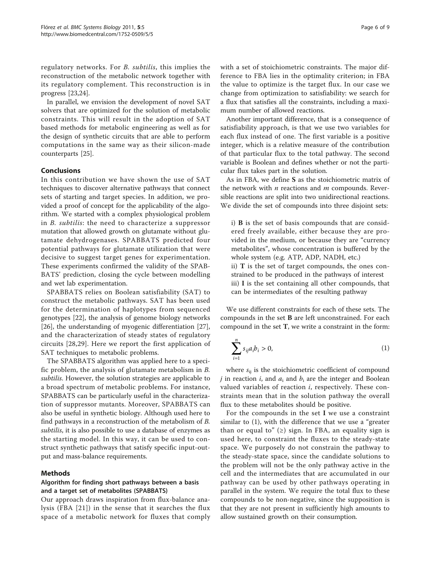regulatory networks. For B. subtilis, this implies the reconstruction of the metabolic network together with its regulatory complement. This reconstruction is in progress [\[23,24\]](#page-8-0).

In parallel, we envision the development of novel SAT solvers that are optimized for the solution of metabolic constraints. This will result in the adoption of SAT based methods for metabolic engineering as well as for the design of synthetic circuits that are able to perform computations in the same way as their silicon-made counterparts [[25](#page-8-0)].

## Conclusions

In this contribution we have shown the use of SAT techniques to discover alternative pathways that connect sets of starting and target species. In addition, we provided a proof of concept for the applicability of the algorithm. We started with a complex physiological problem in B. subtilis: the need to characterize a suppressor mutation that allowed growth on glutamate without glutamate dehydrogenases. SPABBATS predicted four potential pathways for glutamate utilization that were decisive to suggest target genes for experimentation. These experiments confirmed the validity of the SPAB-BATS' prediction, closing the cycle between modelling and wet lab experimentation.

SPABBATS relies on Boolean satisfiability (SAT) to construct the metabolic pathways. SAT has been used for the determination of haplotypes from sequenced genotypes [[22\]](#page-8-0), the analysis of genome biology networks [[26\]](#page-8-0), the understanding of myogenic differentiation [\[27](#page-8-0)], and the characterization of steady states of regulatory circuits [[28,29](#page-8-0)]. Here we report the first application of SAT techniques to metabolic problems.

The SPABBATS algorithm was applied here to a specific problem, the analysis of glutamate metabolism in B. subtilis. However, the solution strategies are applicable to a broad spectrum of metabolic problems. For instance, SPABBATS can be particularly useful in the characterization of suppressor mutants. Moreover, SPABBATS can also be useful in synthetic biology. Although used here to find pathways in a reconstruction of the metabolism of B. subtilis, it is also possible to use a database of enzymes as the starting model. In this way, it can be used to construct synthetic pathways that satisfy specific input-output and mass-balance requirements.

#### Methods

## Algorithm for finding short pathways between a basis and a target set of metabolites (SPABBATS)

Our approach draws inspiration from flux-balance analysis (FBA [[21\]](#page-8-0)) in the sense that it searches the flux space of a metabolic network for fluxes that comply with a set of stoichiometric constraints. The major difference to FBA lies in the optimality criterion; in FBA the value to optimize is the target flux. In our case we change from optimization to satisfiability: we search for a flux that satisfies all the constraints, including a maximum number of allowed reactions.

Another important difference, that is a consequence of satisfiability approach, is that we use two variables for each flux instead of one. The first variable is a positive integer, which is a relative measure of the contribution of that particular flux to the total pathway. The second variable is Boolean and defines whether or not the particular flux takes part in the solution.

As in FBA, we define S as the stoichiometric matrix of the network with  $n$  reactions and  $m$  compounds. Reversible reactions are split into two unidirectional reactions. We divide the set of compounds into three disjoint sets:

i) B is the set of basis compounds that are considered freely available, either because they are provided in the medium, or because they are "currency metabolites", whose concentration is buffered by the whole system (e.g. ATP, ADP, NADH, etc.) ii) T is the set of target compounds, the ones constrained to be produced in the pathways of interest iii) I is the set containing all other compounds, that can be intermediates of the resulting pathway

We use different constraints for each of these sets. The compounds in the set B are left unconstrained. For each compound in the set T, we write a constraint in the form:

$$
\sum_{i=1}^{n} s_{ij} a_i b_i > 0,
$$
\n(1)

where  $s_{ij}$  is the stoichiometric coefficient of compound *j* in reaction *i*, and  $a_i$  and  $b_i$  are the integer and Boolean valued variables of reaction i, respectively. These constraints mean that in the solution pathway the overall flux to these metabolites should be positive.

For the compounds in the set I we use a constraint similar to (1), with the difference that we use a "greater than or equal to"  $(\ge)$  sign. In FBA, an equality sign is used here, to constraint the fluxes to the steady-state space. We purposely do not constrain the pathway to the steady-state space, since the candidate solutions to the problem will not be the only pathway active in the cell and the intermediates that are accumulated in our pathway can be used by other pathways operating in parallel in the system. We require the total flux to these compounds to be non-negative, since the supposition is that they are not present in sufficiently high amounts to allow sustained growth on their consumption.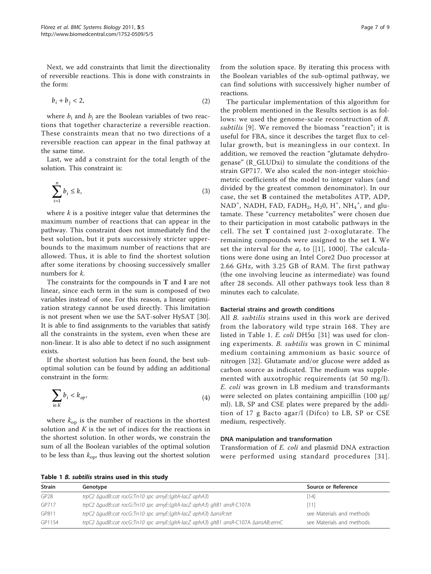Next, we add constraints that limit the directionality of reversible reactions. This is done with constraints in the form:

$$
b_i + b_j < 2,\tag{2}
$$

where  $b_i$  and  $b_j$  are the Boolean variables of two reactions that together characterize a reversible reaction. These constraints mean that no two directions of a reversible reaction can appear in the final pathway at the same time.

Last, we add a constraint for the total length of the solution. This constraint is:

$$
\sum_{i=1}^{n} b_i \le k,\tag{3}
$$

where  $k$  is a positive integer value that determines the maximum number of reactions that can appear in the pathway. This constraint does not immediately find the best solution, but it puts successively stricter upperbounds to the maximum number of reactions that are allowed. Thus, it is able to find the shortest solution after some iterations by choosing successively smaller numbers for k.

The constraints for the compounds in T and I are not linear, since each term in the sum is composed of two variables instead of one. For this reason, a linear optimization strategy cannot be used directly. This limitation is not present when we use the SAT-solver HySAT [\[30](#page-8-0)]. It is able to find assignments to the variables that satisfy all the constraints in the system, even when these are non-linear. It is also able to detect if no such assignment exists.

If the shortest solution has been found, the best suboptimal solution can be found by adding an additional constraint in the form:

$$
\sum_{i \in K} b_i < k_{op} \tag{4}
$$

where  $k_{op}$  is the number of reactions in the shortest solution and  $K$  is the set of indices for the reactions in the shortest solution. In other words, we constrain the sum of all the Boolean variables of the optimal solution to be less than  $k_{\text{op}}$ , thus leaving out the shortest solution from the solution space. By iterating this process with the Boolean variables of the sub-optimal pathway, we can find solutions with successively higher number of reactions.

The particular implementation of this algorithm for the problem mentioned in the Results section is as follows: we used the genome-scale reconstruction of B. subtilis [[9](#page-7-0)]. We removed the biomass "reaction"; it is useful for FBA, since it describes the target flux to cellular growth, but is meaningless in our context. In addition, we removed the reaction "glutamate dehydrogenase" (R\_GLUDxi) to simulate the conditions of the strain GP717. We also scaled the non-integer stoichiometric coefficients of the model to integer values (and divided by the greatest common denominator). In our case, the set B contained the metabolites ATP, ADP,  $NAD^+$ , NADH, FAD, FADH<sub>2</sub>, H<sub>2</sub>0, H<sup>+</sup>, NH<sub>4</sub><sup>+</sup>, and glutamate. These "currency metabolites" were chosen due to their participation in most catabolic pathways in the cell. The set T contained just 2-oxoglutarate. The remaining compounds were assigned to the set I. We set the interval for the  $a_i$  to [[[1](#page-7-0)], 1000]. The calculations were done using an Intel Core2 Duo processor at 2.66 GHz, with 3.25 GB of RAM. The first pathway (the one involving leucine as intermediate) was found after 28 seconds. All other pathways took less than 8 minutes each to calculate.

#### Bacterial strains and growth conditions

All B. subtilis strains used in this work are derived from the laboratory wild type strain 168. They are listed in Table 1. E. coli DH5 $\alpha$  [[31](#page-8-0)] was used for cloning experiments. B. subtilis was grown in C minimal medium containing ammonium as basic source of nitrogen [[32\]](#page-8-0). Glutamate and/or glucose were added as carbon source as indicated. The medium was supplemented with auxotrophic requirements (at 50 mg/l). E. coli was grown in LB medium and transformants were selected on plates containing ampicillin (100 μg/ ml). LB, SP and CSE plates were prepared by the addition of 17 g Bacto agar/l (Difco) to LB, SP or CSE medium, respectively.

#### DNA manipulation and transformation

Transformation of E. coli and plasmid DNA extraction were performed using standard procedures [[31\]](#page-8-0).

|  |  |  | Table 1 B. subtilis strains used in this study |  |  |  |  |  |  |
|--|--|--|------------------------------------------------|--|--|--|--|--|--|
|--|--|--|------------------------------------------------|--|--|--|--|--|--|

| <b>Strain</b>    | Genotype                                                                               | Source or Reference       |
|------------------|----------------------------------------------------------------------------------------|---------------------------|
| GP <sub>28</sub> | trpC2 $\Delta$ qudB::cat rocG::Tn10 spc amyE::(gltA-lacZ aphA3)                        | [14]                      |
| GP717            | trpC2 AgudB::cat rocG::Tn10 spc amyE::(gltA-lacZ aphA3) gltB1 ansR-C107A               | [11]                      |
| GP811            | trpC2 AgudB::cat rocG::Tn10 spc amyE::(gltA-lacZ aphA3) AansR::tet                     | see Materials and methods |
| GP1154           | trpC2 \QudB::cat rocG::Tn10 spc amyE::(g tA-lacZ aphA3) g tB1 ansR-C107A \QansAB::ermC | see Materials and methods |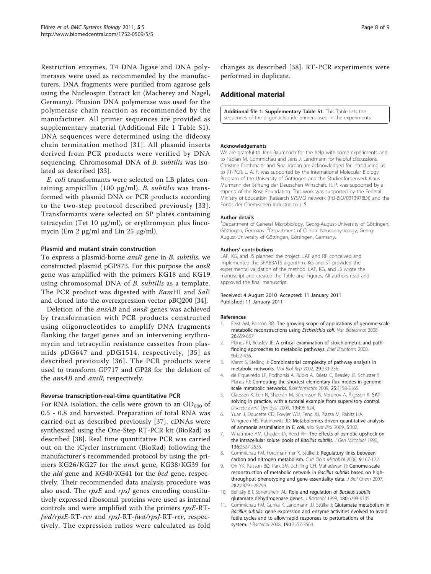<span id="page-7-0"></span>Restriction enzymes, T4 DNA ligase and DNA polymerases were used as recommended by the manufacturers. DNA fragments were purified from agarose gels using the Nucleospin Extract kit (Macherey and Nagel, Germany). Phusion DNA polymerase was used for the polymerase chain reaction as recommended by the manufacturer. All primer sequences are provided as supplementary material (Additional File 1 Table S1). DNA sequences were determined using the dideoxy chain termination method [[31](#page-8-0)]. All plasmid inserts derived from PCR products were verified by DNA sequencing. Chromosomal DNA of B. subtilis was isolated as described [[33](#page-8-0)].

E. coli transformants were selected on LB plates containing ampicillin (100 μg/ml). B. subtilis was transformed with plasmid DNA or PCR products according to the two-step protocol described previously [[33\]](#page-8-0). Transformants were selected on SP plates containing tetracyclin (Tet 10 μg/ml), or erythromycin plus lincomycin (Em 2 μg/ml and Lin 25 μg/ml).

## Plasmid and mutant strain construction

To express a plasmid-borne ansR gene in B. subtilis, we constructed plasmid pGP873. For this purpose the ansR gene was amplified with the primers KG18 and KG19 using chromosomal DNA of *B. subtilis* as a template. The PCR product was digested with BamHI and SalI and cloned into the overexpression vector pBQ200 [\[34](#page-8-0)].

Deletion of the *ansAB* and *ansR* genes was achieved by transformation with PCR products constructed using oligonucleotides to amplify DNA fragments flanking the target genes and an intervening erythromycin and tetracyclin resistance cassettes from plasmids pDG647 and pDG1514, respectively, [[35](#page-8-0)] as described previously [[36\]](#page-8-0). The PCR products were used to transform GP717 and GP28 for the deletion of the *ansAB* and *ansR*, respectively.

#### Reverse transcription-real-time quantitative PCR

For RNA isolation, the cells were grown to an  $OD_{600}$  of 0.5 - 0.8 and harvested. Preparation of total RNA was carried out as described previously [[37\]](#page-8-0). cDNAs were synthesized using the One-Step RT-PCR kit (BioRad) as described [[38\]](#page-8-0). Real time quantitative PCR was carried out on the iCycler instrument (BioRad) following the manufacturer's recommended protocol by using the primers KG26/KG27 for the ansA gene, KG38/KG39 for the *ald* gene and KG40/KG41 for the *bcd* gene, respectively. Their recommended data analysis procedure was also used. The rpsE and rpsJ genes encoding constitutively expressed ribosomal proteins were used as internal controls and were amplified with the primers rpsE-RTfwd/rpsE-RT-rev and rpsJ-RT-fwd/rpsJ-RT-rev, respectively. The expression ratios were calculated as fold

changes as described [[38](#page-8-0)]. RT-PCR experiments were performed in duplicate.

## Additional material

[Additional file 1: S](http://www.biomedcentral.com/content/supplementary/1752-0509-5-5-S1.PDF)upplementary Table S1. This Table lists the sequences of the oligonucleotide primers used in the experiments.

#### Acknowledgements

We are grateful to Jens Baumbach for the help with some experiments and to Fabian M. Commichau and Jens J. Landmann for helpful discussions. Christine Diethmaier and Sina Jordan are acknowledged for introducing us to RT-PCR. L. A. F. was supported by the International Molecular Biology Program of the University of Göttingen and the Studienförderwerk Klaus Murmann der Stiftung der Deutschen Wirtschaft. R. P. was supported by a stipend of the Rose Foundation. This work was supported by the Federal Ministry of Education (Research SYSMO network (PtJ-BIO/0313978D)) and the Fonds der Chemischen Industrie to J. S.

#### Author details

<sup>1</sup>Department of General Microbiology, Georg-August-University of Göttingen, Göttingen, Germany. <sup>2</sup>Department of Clinical Neurophysiology, Georg-August-University of Göttingen, Göttingen, Germany.

#### Authors' contributions

LAF, KG, and JS planned the project. LAF and RP conceived and implemented the SPABBATS algorithm. KG and ST provided the experimental validation of the method. LAF, KG, and JS wrote the manuscript and created the Table and Figures. All authors read and approved the final manuscript.

#### Received: 4 August 2010 Accepted: 11 January 2011 Published: 11 January 2011

#### References

- 1. Feist AM, Palsson BØ: [The growing scope of applications of genome-scale](http://www.ncbi.nlm.nih.gov/pubmed/18536691?dopt=Abstract) [metabolic reconstructions using](http://www.ncbi.nlm.nih.gov/pubmed/18536691?dopt=Abstract) Escherichia coli. Nat Biotechnol 2008, 26:659-667.
- 2. Planes FJ, Beasley JE: [A critical examination of stoichiometric and path](http://www.ncbi.nlm.nih.gov/pubmed/18436574?dopt=Abstract)[finding approaches to metabolic pathways.](http://www.ncbi.nlm.nih.gov/pubmed/18436574?dopt=Abstract) Brief Bioinform 2008, 9:422-436.
- 3. Klamt S, Stelling J: [Combinatorial complexity of pathway analysis in](http://www.ncbi.nlm.nih.gov/pubmed/12241063?dopt=Abstract) [metabolic networks.](http://www.ncbi.nlm.nih.gov/pubmed/12241063?dopt=Abstract) Mol Biol Rep 2002, 29:233-236.
- 4. de Figueiredo LF, Podhorski A, Rubio A, Kaleta C, Beasley JE, Schuster S, Planes FJ: [Computing the shortest elementary flux modes in genome](http://www.ncbi.nlm.nih.gov/pubmed/19793869?dopt=Abstract)[scale metabolic networks.](http://www.ncbi.nlm.nih.gov/pubmed/19793869?dopt=Abstract) Bioinformatics 2009, 25:3158-3165.
- 5. Claessen K, Een N, Sheeran M, Sörensson N, Voronov A, Åkesson K: SATsolving in practice, with a tutorial example from supervisory control. Discrete Event Dyn Syst 2009, 19:495-524.
- 6. Yuan J, Doucette CD, Fowler WU, Feng XJ, Piazza M, Rabitz HA, Wingreen NS, Rabinowitz JD: [Metabolomics-driven quantitative analysis](http://www.ncbi.nlm.nih.gov/pubmed/19690571?dopt=Abstract) [of ammonia assimilation in](http://www.ncbi.nlm.nih.gov/pubmed/19690571?dopt=Abstract) E. coli. Mol Syst Biol 2009, <sup>5</sup>:302.
- 7. Whatmore AM, Chudek JA, Reed RH: [The effects of osmotic upshock on](http://www.ncbi.nlm.nih.gov/pubmed/2127802?dopt=Abstract) [the intracellular solute pools of](http://www.ncbi.nlm.nih.gov/pubmed/2127802?dopt=Abstract) Bacillus subtilis. J Gen Microbiol 1990, 136:2527-2535.
- 8. Commichau FM, Forchhammer K, Stülke J: [Regulatory links between](http://www.ncbi.nlm.nih.gov/pubmed/16458044?dopt=Abstract) [carbon and nitrogen metabolism.](http://www.ncbi.nlm.nih.gov/pubmed/16458044?dopt=Abstract) Curr Opin Microbiol 2006, 9:167-172.
- 9. Oh YK, Palsson BØ, Park SM, Schilling CH, Mahadevan R: [Genome-scale](http://www.ncbi.nlm.nih.gov/pubmed/17573341?dopt=Abstract) [reconstruction of metabolic network in](http://www.ncbi.nlm.nih.gov/pubmed/17573341?dopt=Abstract) Bacillus subtilis based on high[throughput phenotyping and gene essentiality data.](http://www.ncbi.nlm.nih.gov/pubmed/17573341?dopt=Abstract) J Biol Chem 2007, 282:28791-28799.
- 10. Belitsky BR, Sonenshein AL: [Role and regulation of](http://www.ncbi.nlm.nih.gov/pubmed/9829940?dopt=Abstract) Bacillus subtilis [glutamate dehydrogenase genes.](http://www.ncbi.nlm.nih.gov/pubmed/9829940?dopt=Abstract) J Bacteriol 1998, 180:6298-6305.
- 11. Commichau FM, Gunka K, Landmann JJ, Stülke J: [Glutamate metabolism in](http://www.ncbi.nlm.nih.gov/pubmed/18326565?dopt=Abstract) Bacillus subtilis[: gene expression and enzyme activities evolved to avoid](http://www.ncbi.nlm.nih.gov/pubmed/18326565?dopt=Abstract) [futile cycles and to allow rapid responses to perturbations of the](http://www.ncbi.nlm.nih.gov/pubmed/18326565?dopt=Abstract) [system.](http://www.ncbi.nlm.nih.gov/pubmed/18326565?dopt=Abstract) J Bacteriol 2008, 190:3557-3564.